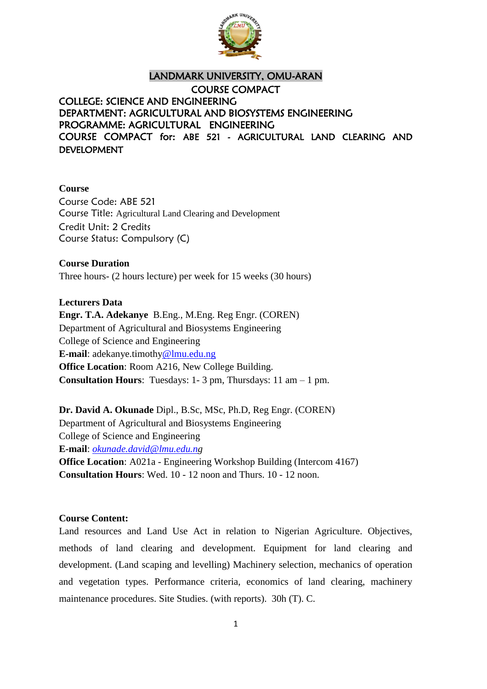

# LANDMARK UNIVERSITY, OMU-ARAN COURSE COMPACT COLLEGE: SCIENCE AND ENGINEERING DEPARTMENT: AGRICULTURAL AND BIOSYSTEMS ENGINEERING PROGRAMME: AGRICULTURAL ENGINEERING COURSE COMPACT for: ABE 521 - AGRICULTURAL LAND CLEARING AND DEVELOPMENT

#### **Course**

Course Code: ABE 521 Course Title: Agricultural Land Clearing and Development Credit Unit: 2 Credits Course Status: Compulsory (C)

**Course Duration** Three hours- (2 hours lecture) per week for 15 weeks (30 hours)

### **Lecturers Data**

**Engr. T.A. Adekanye** B.Eng., M.Eng. Reg Engr. (COREN) Department of Agricultural and Biosystems Engineering College of Science and Engineering **E-mail**: adekanye.timothy@lmu.edu.ng **Office Location**: Room A216, New College Building. **Consultation Hours**: Tuesdays: 1- 3 pm, Thursdays: 11 am – 1 pm.

**Dr. David A. Okunade** Dipl., B.Sc, MSc, Ph.D, Reg Engr. (COREN) Department of Agricultural and Biosystems Engineering College of Science and Engineering **E-mail**: *[okunade.david@lmu.edu.ng](mailto:okunade.david@lmu.edu.ng)* **Office Location:** A021a - Engineering Workshop Building (Intercom 4167) **Consultation Hours**: Wed. 10 - 12 noon and Thurs. 10 - 12 noon.

#### **Course Content:**

Land resources and Land Use Act in relation to Nigerian Agriculture. Objectives, methods of land clearing and development. Equipment for land clearing and development. (Land scaping and levelling) Machinery selection, mechanics of operation and vegetation types. Performance criteria, economics of land clearing, machinery maintenance procedures. Site Studies. (with reports). 30h (T). C.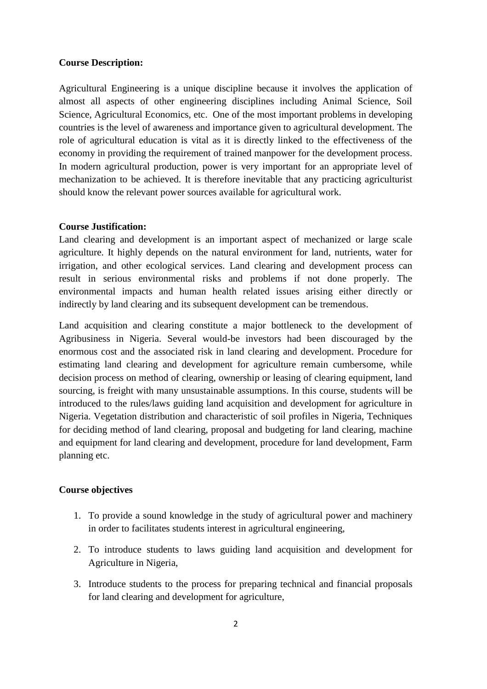#### **Course Description:**

Agricultural Engineering is a unique discipline because it involves the application of almost all aspects of other engineering disciplines including Animal Science, Soil Science, Agricultural Economics, etc. One of the most important problems in developing countries is the level of awareness and importance given to agricultural development. The role of agricultural education is vital as it is directly linked to the effectiveness of the economy in providing the requirement of trained manpower for the development process. In modern agricultural production, power is very important for an appropriate level of mechanization to be achieved. It is therefore inevitable that any practicing agriculturist should know the relevant power sources available for agricultural work.

#### **Course Justification:**

Land clearing and development is an important aspect of mechanized or large scale agriculture. It highly depends on the natural environment for land, nutrients, water for irrigation, and other ecological services. Land clearing and development process can result in serious environmental risks and problems if not done properly. The environmental impacts and human health related issues arising either directly or indirectly by land clearing and its subsequent development can be tremendous.

Land acquisition and clearing constitute a major bottleneck to the development of Agribusiness in Nigeria. Several would-be investors had been discouraged by the enormous cost and the associated risk in land clearing and development. Procedure for estimating land clearing and development for agriculture remain cumbersome, while decision process on method of clearing, ownership or leasing of clearing equipment, land sourcing, is freight with many unsustainable assumptions. In this course, students will be introduced to the rules/laws guiding land acquisition and development for agriculture in Nigeria. Vegetation distribution and characteristic of soil profiles in Nigeria, Techniques for deciding method of land clearing, proposal and budgeting for land clearing, machine and equipment for land clearing and development, procedure for land development, Farm planning etc.

#### **Course objectives**

- 1. To provide a sound knowledge in the study of agricultural power and machinery in order to facilitates students interest in agricultural engineering,
- 2. To introduce students to laws guiding land acquisition and development for Agriculture in Nigeria,
- 3. Introduce students to the process for preparing technical and financial proposals for land clearing and development for agriculture,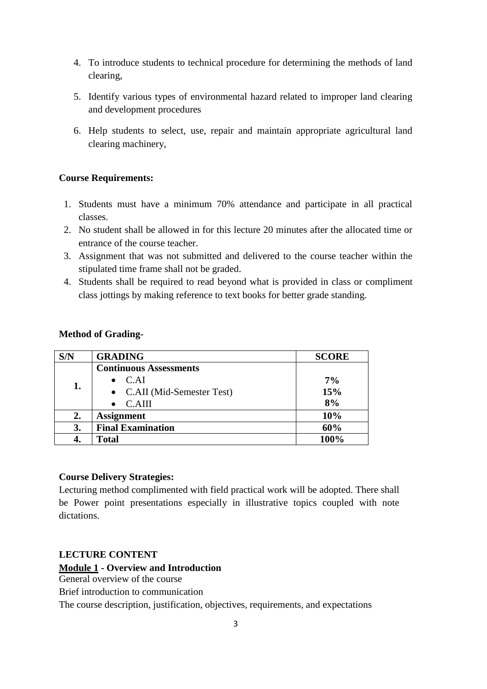- 4. To introduce students to technical procedure for determining the methods of land clearing,
- 5. Identify various types of environmental hazard related to improper land clearing and development procedures
- 6. Help students to select, use, repair and maintain appropriate agricultural land clearing machinery,

# **Course Requirements:**

- 1. Students must have a minimum 70% attendance and participate in all practical classes.
- 2. No student shall be allowed in for this lecture 20 minutes after the allocated time or entrance of the course teacher.
- 3. Assignment that was not submitted and delivered to the course teacher within the stipulated time frame shall not be graded.
- 4. Students shall be required to read beyond what is provided in class or compliment class jottings by making reference to text books for better grade standing.

### **Method of Grading-**

| S/N | <b>GRADING</b>                | <b>SCORE</b> |
|-----|-------------------------------|--------------|
| 1.  | <b>Continuous Assessments</b> |              |
|     | $\bullet$ C.AI                | 7%           |
|     | • C.AII (Mid-Semester Test)   | 15%          |
|     | C.AIII                        | 8%           |
| 2.  | <b>Assignment</b>             | 10%          |
| 3.  | <b>Final Examination</b>      | 60%          |
|     | <b>Total</b>                  | 100%         |

# **Course Delivery Strategies:**

Lecturing method complimented with field practical work will be adopted. There shall be Power point presentations especially in illustrative topics coupled with note dictations.

# **LECTURE CONTENT**

# **Module 1 - Overview and Introduction**

General overview of the course

Brief introduction to communication

The course description, justification, objectives, requirements, and expectations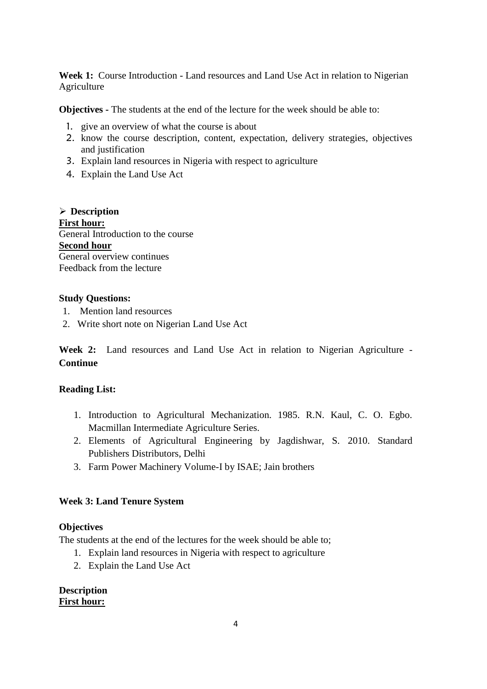Week 1: Course Introduction - Land resources and Land Use Act in relation to Nigerian Agriculture

**Objectives -** The students at the end of the lecture for the week should be able to:

- 1. give an overview of what the course is about
- 2. know the course description, content, expectation, delivery strategies, objectives and justification
- 3. Explain land resources in Nigeria with respect to agriculture
- 4. Explain the Land Use Act

 **Description First hour:** General Introduction to the course **Second hour** General overview continues Feedback from the lecture

#### **Study Questions:**

- 1. Mention land resources
- 2. Write short note on Nigerian Land Use Act

**Week 2:** Land resources and Land Use Act in relation to Nigerian Agriculture - **Continue**

# **Reading List:**

- 1. Introduction to Agricultural Mechanization. 1985. R.N. Kaul, C. O. Egbo. Macmillan Intermediate Agriculture Series.
- 2. Elements of Agricultural Engineering by Jagdishwar, S. 2010. Standard Publishers Distributors, Delhi
- 3. Farm Power Machinery Volume-I by ISAE; Jain brothers

# **Week 3: Land Tenure System**

#### **Objectives**

The students at the end of the lectures for the week should be able to;

- 1. Explain land resources in Nigeria with respect to agriculture
- 2. Explain the Land Use Act

#### **Description First hour:**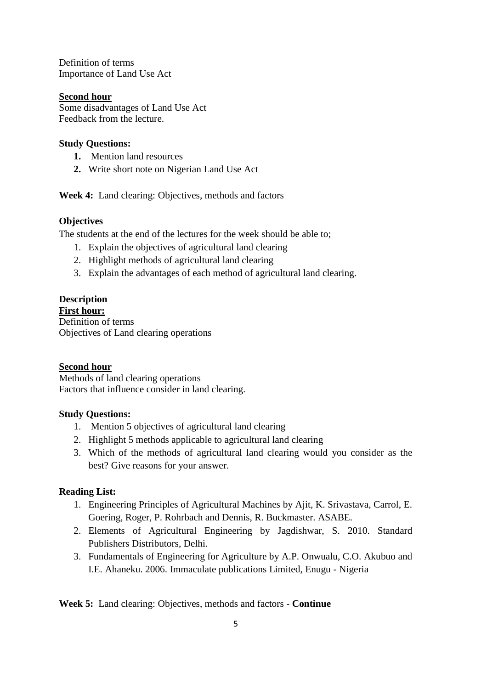Definition of terms Importance of Land Use Act

### **Second hour**

Some disadvantages of Land Use Act Feedback from the lecture.

#### **Study Questions:**

- **1.** Mention land resources
- **2.** Write short note on Nigerian Land Use Act

**Week 4:** Land clearing: Objectives, methods and factors

### **Objectives**

The students at the end of the lectures for the week should be able to;

- 1. Explain the objectives of agricultural land clearing
- 2. Highlight methods of agricultural land clearing
- 3. Explain the advantages of each method of agricultural land clearing.

#### **Description First hour:**

Definition of terms Objectives of Land clearing operations

# **Second hour**

Methods of land clearing operations Factors that influence consider in land clearing.

# **Study Questions:**

- 1. Mention 5 objectives of agricultural land clearing
- 2. Highlight 5 methods applicable to agricultural land clearing
- 3. Which of the methods of agricultural land clearing would you consider as the best? Give reasons for your answer.

# **Reading List:**

- 1. Engineering Principles of Agricultural Machines by Ajit, K. Srivastava, Carrol, E. Goering, Roger, P. Rohrbach and Dennis, R. Buckmaster. ASABE.
- 2. Elements of Agricultural Engineering by Jagdishwar, S. 2010. Standard Publishers Distributors, Delhi.
- 3. Fundamentals of Engineering for Agriculture by A.P. Onwualu, C.O. Akubuo and I.E. Ahaneku. 2006. Immaculate publications Limited, Enugu - Nigeria

**Week 5:** Land clearing: Objectives, methods and factors - **Continue**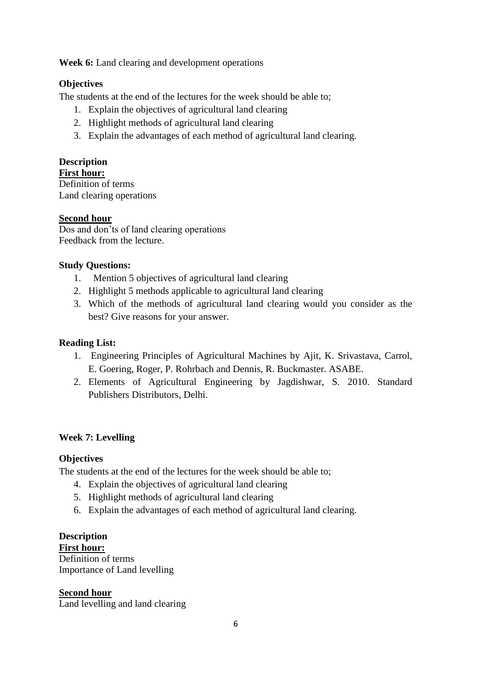Week 6: Land clearing and development operations

# **Objectives**

The students at the end of the lectures for the week should be able to;

- 1. Explain the objectives of agricultural land clearing
- 2. Highlight methods of agricultural land clearing
- 3. Explain the advantages of each method of agricultural land clearing.

# **Description**

#### **First hour:**

Definition of terms Land clearing operations

# **Second hour**

Dos and don'ts of land clearing operations Feedback from the lecture.

### **Study Questions:**

- 1.Mention 5 objectives of agricultural land clearing
- 2. Highlight 5 methods applicable to agricultural land clearing
- 3. Which of the methods of agricultural land clearing would you consider as the best? Give reasons for your answer.

### **Reading List:**

- 1. Engineering Principles of Agricultural Machines by Ajit, K. Srivastava, Carrol, E. Goering, Roger, P. Rohrbach and Dennis, R. Buckmaster. ASABE.
- 2. Elements of Agricultural Engineering by Jagdishwar, S. 2010. Standard Publishers Distributors, Delhi.

# **Week 7: Levelling**

#### **Objectives**

The students at the end of the lectures for the week should be able to;

- 4. Explain the objectives of agricultural land clearing
- 5. Highlight methods of agricultural land clearing
- 6. Explain the advantages of each method of agricultural land clearing.

#### **Description**

**First hour:** Definition of terms Importance of Land levelling

# **Second hour**

Land levelling and land clearing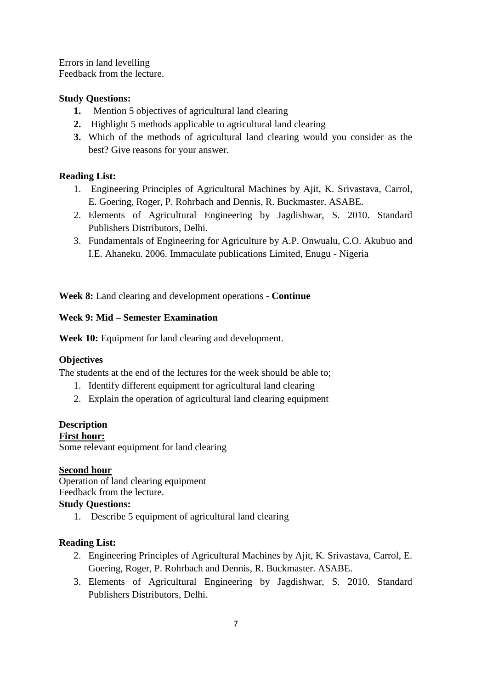Errors in land levelling Feedback from the lecture.

### **Study Questions:**

- **1.** Mention 5 objectives of agricultural land clearing
- **2.** Highlight 5 methods applicable to agricultural land clearing
- **3.** Which of the methods of agricultural land clearing would you consider as the best? Give reasons for your answer.

# **Reading List:**

- 1. Engineering Principles of Agricultural Machines by Ajit, K. Srivastava, Carrol, E. Goering, Roger, P. Rohrbach and Dennis, R. Buckmaster. ASABE.
- 2. Elements of Agricultural Engineering by Jagdishwar, S. 2010. Standard Publishers Distributors, Delhi.
- 3. Fundamentals of Engineering for Agriculture by A.P. Onwualu, C.O. Akubuo and I.E. Ahaneku. 2006. Immaculate publications Limited, Enugu - Nigeria

**Week 8:** Land clearing and development operations - **Continue**

### **Week 9: Mid – Semester Examination**

Week 10: Equipment for land clearing and development.

# **Objectives**

The students at the end of the lectures for the week should be able to;

- 1. Identify different equipment for agricultural land clearing
- 2. Explain the operation of agricultural land clearing equipment

#### **Description**

**First hour:**

Some relevant equipment for land clearing

#### **Second hour**

Operation of land clearing equipment Feedback from the lecture.

#### **Study Questions:**

1. Describe 5 equipment of agricultural land clearing

# **Reading List:**

- 2. Engineering Principles of Agricultural Machines by Ajit, K. Srivastava, Carrol, E. Goering, Roger, P. Rohrbach and Dennis, R. Buckmaster. ASABE.
- 3. Elements of Agricultural Engineering by Jagdishwar, S. 2010. Standard Publishers Distributors, Delhi.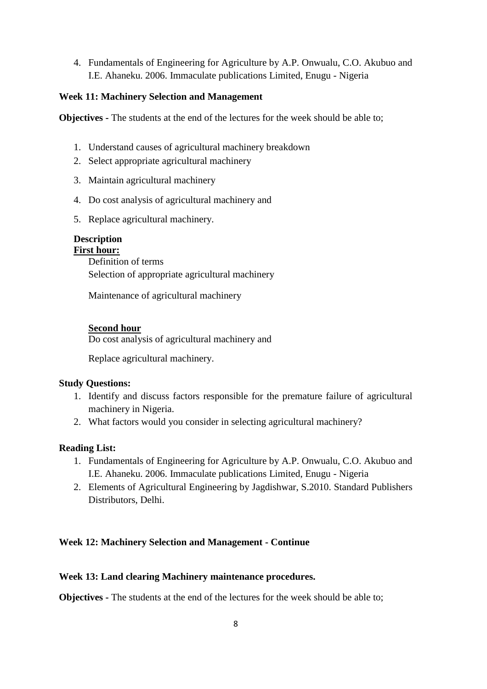4. Fundamentals of Engineering for Agriculture by A.P. Onwualu, C.O. Akubuo and I.E. Ahaneku. 2006. Immaculate publications Limited, Enugu - Nigeria

### **Week 11: Machinery Selection and Management**

**Objectives -** The students at the end of the lectures for the week should be able to;

- 1. Understand causes of agricultural machinery breakdown
- 2. Select appropriate agricultural machinery
- 3. Maintain agricultural machinery
- 4. Do cost analysis of agricultural machinery and
- 5. Replace agricultural machinery.

### **Description**

**First hour:** Definition of terms Selection of appropriate agricultural machinery

Maintenance of agricultural machinery

### **Second hour**

Do cost analysis of agricultural machinery and

Replace agricultural machinery.

#### **Study Questions:**

- 1. Identify and discuss factors responsible for the premature failure of agricultural machinery in Nigeria.
- 2. What factors would you consider in selecting agricultural machinery?

#### **Reading List:**

- 1. Fundamentals of Engineering for Agriculture by A.P. Onwualu, C.O. Akubuo and I.E. Ahaneku. 2006. Immaculate publications Limited, Enugu - Nigeria
- 2. Elements of Agricultural Engineering by Jagdishwar, S.2010. Standard Publishers Distributors, Delhi.

# **Week 12: Machinery Selection and Management - Continue**

#### **Week 13: Land clearing Machinery maintenance procedures.**

**Objectives -** The students at the end of the lectures for the week should be able to;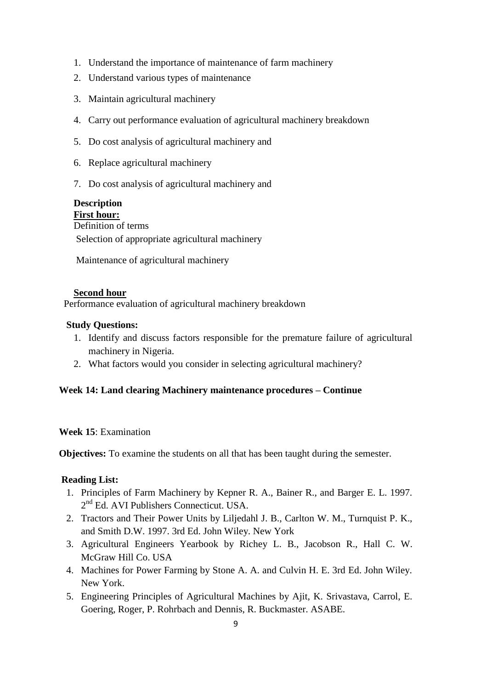- 1. Understand the importance of maintenance of farm machinery
- 2. Understand various types of maintenance
- 3. Maintain agricultural machinery
- 4. Carry out performance evaluation of agricultural machinery breakdown
- 5. Do cost analysis of agricultural machinery and
- 6. Replace agricultural machinery
- 7. Do cost analysis of agricultural machinery and

# **Description**

 **First hour:** Definition of terms Selection of appropriate agricultural machinery

Maintenance of agricultural machinery

#### **Second hour**

Performance evaluation of agricultural machinery breakdown

#### **Study Questions:**

- 1. Identify and discuss factors responsible for the premature failure of agricultural machinery in Nigeria.
- 2. What factors would you consider in selecting agricultural machinery?

#### **Week 14: Land clearing Machinery maintenance procedures – Continue**

#### **Week 15**: Examination

**Objectives:** To examine the students on all that has been taught during the semester.

#### **Reading List:**

- 1. Principles of Farm Machinery by Kepner R. A., Bainer R., and Barger E. L. 1997. 2<sup>nd</sup> Ed. AVI Publishers Connecticut. USA.
- 2. Tractors and Their Power Units by Liljedahl J. B., Carlton W. M., Turnquist P. K., and Smith D.W. 1997. 3rd Ed. John Wiley. New York
- 3. Agricultural Engineers Yearbook by Richey L. B., Jacobson R., Hall C. W. McGraw Hill Co. USA
- 4. Machines for Power Farming by Stone A. A. and Culvin H. E. 3rd Ed. John Wiley. New York.
- 5. Engineering Principles of Agricultural Machines by Ajit, K. Srivastava, Carrol, E. Goering, Roger, P. Rohrbach and Dennis, R. Buckmaster. ASABE.